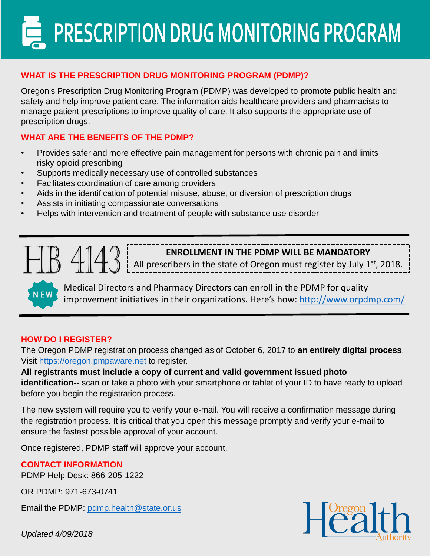PRESCRIPTION DRUG MONITORING PROGRAM

## **WHAT IS THE PRESCRIPTION DRUG MONITORING PROGRAM (PDMP)?**

Oregon's Prescription Drug Monitoring Program (PDMP) was developed to promote public health and safety and help improve patient care. The information aids healthcare providers and pharmacists to manage patient prescriptions to improve quality of care. It also supports the appropriate use of prescription drugs.

### **WHAT ARE THE BENEFITS OF THE PDMP?**

- Provides safer and more effective pain management for persons with chronic pain and limits risky opioid prescribing
- Supports medically necessary use of controlled substances
- Facilitates coordination of care among providers
- Aids in the identification of potential misuse, abuse, or diversion of prescription drugs
- Assists in initiating compassionate conversations
- Helps with intervention and treatment of people with substance use disorder

**ENROLLMENT IN THE PDMP WILL BE MANDATORY**

All prescribers in the state of Oregon must register by July  $1<sup>st</sup>$ , 2018.

Medical Directors and Pharmacy Directors can enroll in the PDMP for quality improvement initiatives in their organizations. Here's how: <http://www.orpdmp.com/>

#### **HOW DO I REGISTER?**

**NEW** 

The Oregon PDMP registration process changed as of October 6, 2017 to **an entirely digital process**. Visit [https://oregon.pmpaware.net](https://oregon.pmpaware.net/) to register.

**All registrants must include a copy of current and valid government issued photo identification--** scan or take a photo with your smartphone or tablet of your ID to have ready to upload before you begin the registration process.

The new system will require you to verify your e-mail. You will receive a confirmation message during the registration process. It is critical that you open this message promptly and verify your e-mail to ensure the fastest possible approval of your account.

Once registered, PDMP staff will approve your account.

#### **CONTACT INFORMATION**

PDMP Help Desk: 866-205-1222

OR PDMP: 971-673-0741

Email the PDMP: [pdmp.health@state.or.us](mailto:pdmp.health@state.or.us)

*Updated 4/09/2018*